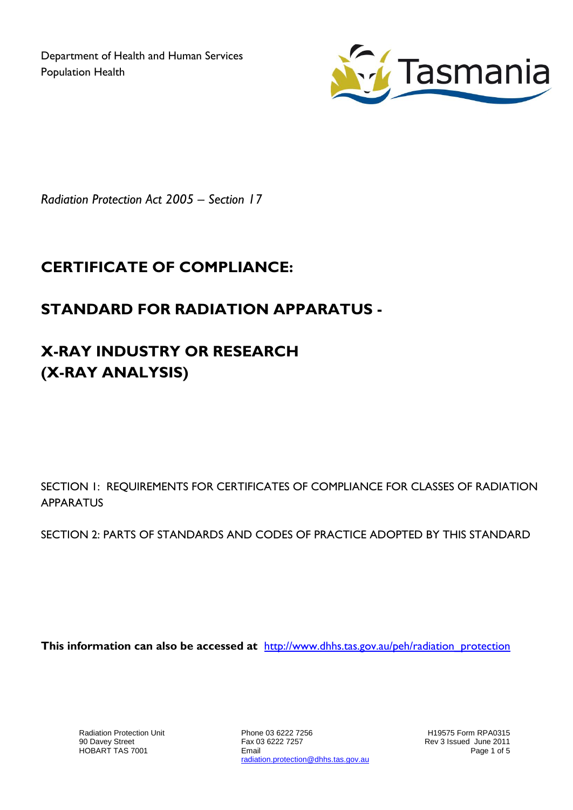Department of Health and Human Services Population Health



*Radiation Protection Act 2005 – Section 17*

## **CERTIFICATE OF COMPLIANCE:**

## **STANDARD FOR RADIATION APPARATUS -**

## **X-RAY INDUSTRY OR RESEARCH (X-RAY ANALYSIS)**

SECTION 1: REQUIREMENTS FOR CERTIFICATES OF COMPLIANCE FOR CLASSES OF RADIATION **APPARATUS** 

SECTION 2: PARTS OF STANDARDS AND CODES OF PRACTICE ADOPTED BY THIS STANDARD

**This information can also be accessed at** [http://www.dhhs.tas.gov.au/peh/radiation\\_protection](http://www.dhhs.tas.gov.au/peh/radiation_protection)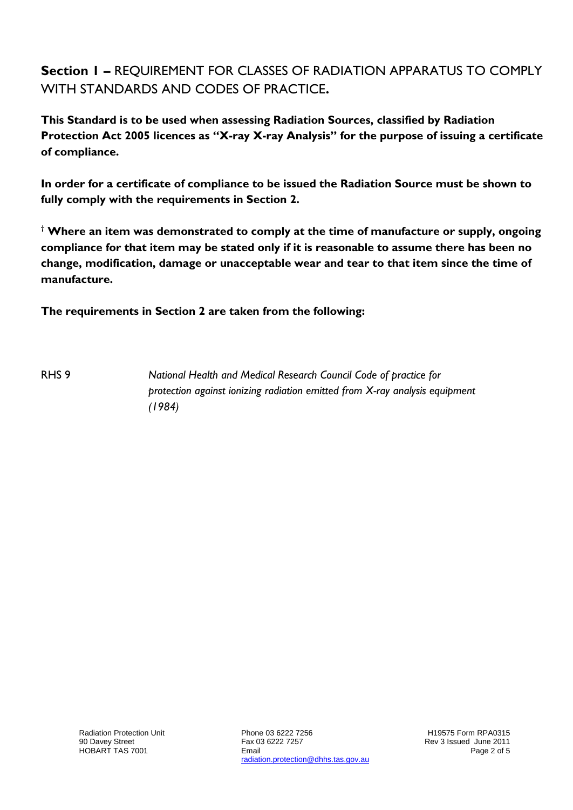**Section 1 –** REQUIREMENT FOR CLASSES OF RADIATION APPARATUS TO COMPLY WITH STANDARDS AND CODES OF PRACTICE**.**

**This Standard is to be used when assessing Radiation Sources, classified by Radiation Protection Act 2005 licences as "X-ray X-ray Analysis" for the purpose of issuing a certificate of compliance.**

**In order for a certificate of compliance to be issued the Radiation Source must be shown to fully comply with the requirements in Section 2.**

**† Where an item was demonstrated to comply at the time of manufacture or supply, ongoing compliance for that item may be stated only if it is reasonable to assume there has been no change, modification, damage or unacceptable wear and tear to that item since the time of manufacture.** 

**The requirements in Section 2 are taken from the following:**

RHS 9 *National Health and Medical Research Council Code of practice for protection against ionizing radiation emitted from X-ray analysis equipment (1984)*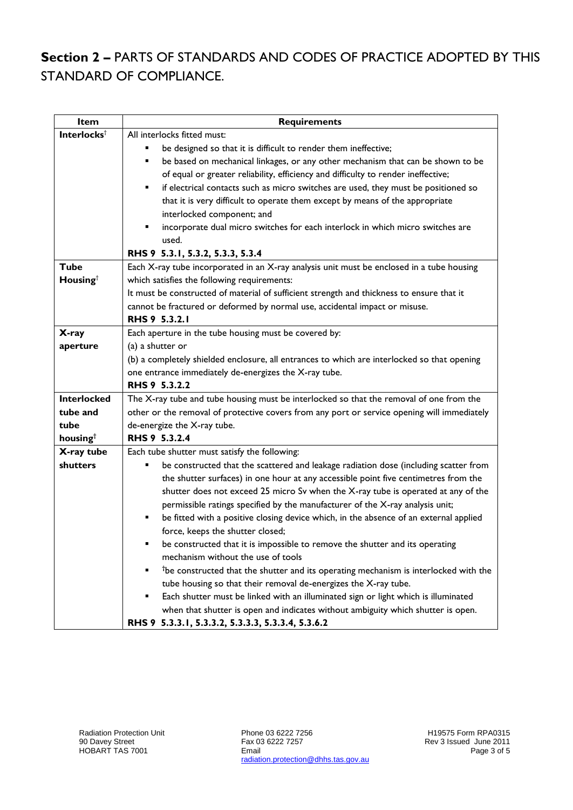## **Section 2 –** PARTS OF STANDARDS AND CODES OF PRACTICE ADOPTED BY THIS STANDARD OF COMPLIANCE.

| Item                    | <b>Requirements</b>                                                                              |
|-------------------------|--------------------------------------------------------------------------------------------------|
| Interlocks <sup>†</sup> | All interlocks fitted must:                                                                      |
|                         | be designed so that it is difficult to render them ineffective;                                  |
|                         | be based on mechanical linkages, or any other mechanism that can be shown to be                  |
|                         | of equal or greater reliability, efficiency and difficulty to render ineffective;                |
|                         | if electrical contacts such as micro switches are used, they must be positioned so<br>п          |
|                         | that it is very difficult to operate them except by means of the appropriate                     |
|                         | interlocked component; and                                                                       |
|                         | incorporate dual micro switches for each interlock in which micro switches are                   |
|                         | used.                                                                                            |
|                         | RHS 9 5.3.1, 5.3.2, 5.3.3, 5.3.4                                                                 |
| <b>Tube</b>             | Each X-ray tube incorporated in an X-ray analysis unit must be enclosed in a tube housing        |
| Housing <sup>†</sup>    | which satisfies the following requirements:                                                      |
|                         | It must be constructed of material of sufficient strength and thickness to ensure that it        |
|                         | cannot be fractured or deformed by normal use, accidental impact or misuse.                      |
|                         | RHS 9 5.3.2.1                                                                                    |
| X-ray                   | Each aperture in the tube housing must be covered by:                                            |
| aperture                | (a) a shutter or                                                                                 |
|                         | (b) a completely shielded enclosure, all entrances to which are interlocked so that opening      |
|                         | one entrance immediately de-energizes the X-ray tube.                                            |
|                         | RHS 9 5.3.2.2                                                                                    |
| <b>Interlocked</b>      | The X-ray tube and tube housing must be interlocked so that the removal of one from the          |
| tube and                | other or the removal of protective covers from any port or service opening will immediately      |
| tube                    | de-energize the X-ray tube.                                                                      |
| housingt                | RHS 9 5.3.2.4                                                                                    |
| X-ray tube              | Each tube shutter must satisfy the following:                                                    |
| shutters                | be constructed that the scattered and leakage radiation dose (including scatter from             |
|                         | the shutter surfaces) in one hour at any accessible point five centimetres from the              |
|                         | shutter does not exceed 25 micro Sv when the X-ray tube is operated at any of the                |
|                         | permissible ratings specified by the manufacturer of the X-ray analysis unit;                    |
|                         | be fitted with a positive closing device which, in the absence of an external applied<br>٠       |
|                         | force, keeps the shutter closed;                                                                 |
|                         | be constructed that it is impossible to remove the shutter and its operating                     |
|                         | mechanism without the use of tools                                                               |
|                         | <sup>t</sup> be constructed that the shutter and its operating mechanism is interlocked with the |
|                         | tube housing so that their removal de-energizes the X-ray tube.                                  |
|                         | Each shutter must be linked with an illuminated sign or light which is illuminated               |
|                         | when that shutter is open and indicates without ambiguity which shutter is open.                 |
|                         | RHS 9 5.3.3.1, 5.3.3.2, 5.3.3.3, 5.3.3.4, 5.3.6.2                                                |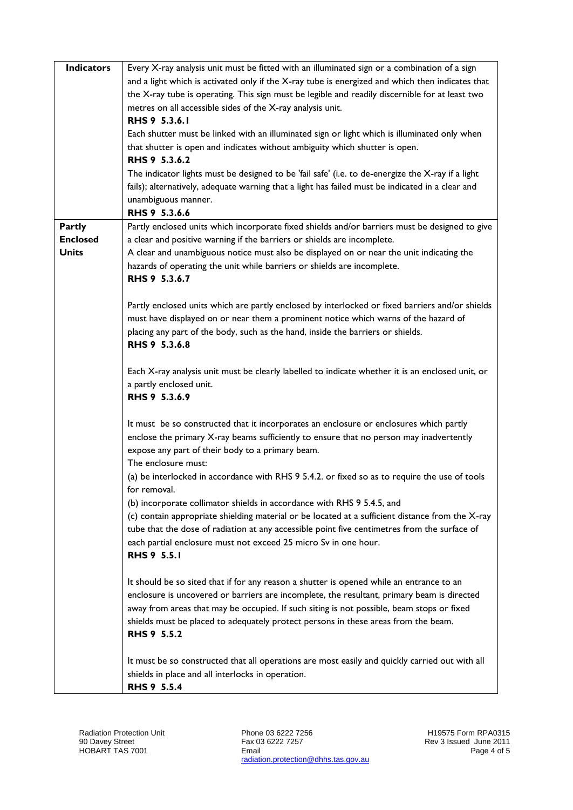| <b>Indicators</b> | Every X-ray analysis unit must be fitted with an illuminated sign or a combination of a sign      |
|-------------------|---------------------------------------------------------------------------------------------------|
|                   | and a light which is activated only if the X-ray tube is energized and which then indicates that  |
|                   | the X-ray tube is operating. This sign must be legible and readily discernible for at least two   |
|                   | metres on all accessible sides of the X-ray analysis unit.                                        |
|                   | RHS 9 5.3.6.1                                                                                     |
|                   | Each shutter must be linked with an illuminated sign or light which is illuminated only when      |
|                   | that shutter is open and indicates without ambiguity which shutter is open.                       |
|                   | RHS 9 5.3.6.2                                                                                     |
|                   | The indicator lights must be designed to be 'fail safe' (i.e. to de-energize the X-ray if a light |
|                   | fails); alternatively, adequate warning that a light has failed must be indicated in a clear and  |
|                   | unambiguous manner.                                                                               |
|                   | RHS 9 5.3.6.6                                                                                     |
| <b>Partly</b>     | Partly enclosed units which incorporate fixed shields and/or barriers must be designed to give    |
| <b>Enclosed</b>   | a clear and positive warning if the barriers or shields are incomplete.                           |
| <b>Units</b>      | A clear and unambiguous notice must also be displayed on or near the unit indicating the          |
|                   | hazards of operating the unit while barriers or shields are incomplete.                           |
|                   | RHS 9 5.3.6.7                                                                                     |
|                   |                                                                                                   |
|                   | Partly enclosed units which are partly enclosed by interlocked or fixed barriers and/or shields   |
|                   | must have displayed on or near them a prominent notice which warns of the hazard of               |
|                   | placing any part of the body, such as the hand, inside the barriers or shields.                   |
|                   | RHS 9 5.3.6.8                                                                                     |
|                   | Each X-ray analysis unit must be clearly labelled to indicate whether it is an enclosed unit, or  |
|                   | a partly enclosed unit.                                                                           |
|                   | RHS 9 5.3.6.9                                                                                     |
|                   |                                                                                                   |
|                   | It must be so constructed that it incorporates an enclosure or enclosures which partly            |
|                   | enclose the primary X-ray beams sufficiently to ensure that no person may inadvertently           |
|                   | expose any part of their body to a primary beam.                                                  |
|                   | The enclosure must:                                                                               |
|                   | (a) be interlocked in accordance with RHS 9 5.4.2. or fixed so as to require the use of tools     |
|                   | for removal.                                                                                      |
|                   | (b) incorporate collimator shields in accordance with RHS 9 5.4.5, and                            |
|                   | (c) contain appropriate shielding material or be located at a sufficient distance from the X-ray  |
|                   | tube that the dose of radiation at any accessible point five centimetres from the surface of      |
|                   | each partial enclosure must not exceed 25 micro Sv in one hour.                                   |
|                   | <b>RHS 9 5.5.1</b>                                                                                |
|                   |                                                                                                   |
|                   | It should be so sited that if for any reason a shutter is opened while an entrance to an          |
|                   | enclosure is uncovered or barriers are incomplete, the resultant, primary beam is directed        |
|                   | away from areas that may be occupied. If such siting is not possible, beam stops or fixed         |
|                   | shields must be placed to adequately protect persons in these areas from the beam.                |
|                   | <b>RHS 9 5.5.2</b>                                                                                |
|                   |                                                                                                   |
|                   | It must be so constructed that all operations are most easily and quickly carried out with all    |
|                   | shields in place and all interlocks in operation.                                                 |
|                   | <b>RHS 9 5.5.4</b>                                                                                |

Phone 03 6222 7256 Fax 03 6222 7257 Email radiation.protection@dhhs.tas.gov.au